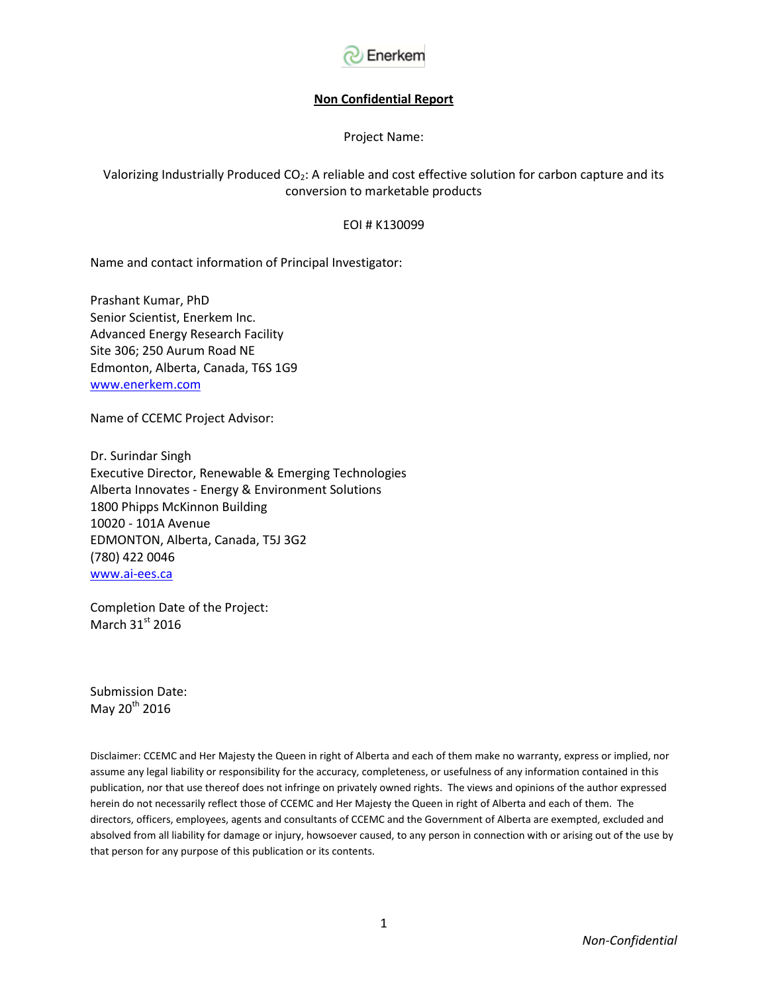

#### **Non Confidential Report**

Project Name:

### Valorizing Industrially Produced  $CO<sub>2</sub>$ : A reliable and cost effective solution for carbon capture and its conversion to marketable products

#### EOI # K130099

Name and contact information of Principal Investigator:

Prashant Kumar, PhD Senior Scientist, Enerkem Inc. Advanced Energy Research Facility Site 306; 250 Aurum Road NE Edmonton, Alberta, Canada, T6S 1G9 [www.enerkem.com](http://www.enerkem.com/)

Name of CCEMC Project Advisor:

Dr. Surindar Singh Executive Director, Renewable & Emerging Technologies Alberta Innovates - Energy & Environment Solutions 1800 Phipps McKinnon Building 10020 - 101A Avenue EDMONTON, Alberta, Canada, T5J 3G2 (780) 422 0046 [www.ai-ees.ca](http://www.ai-ees.ca/)

Completion Date of the Project: March  $31<sup>st</sup>$  2016

Submission Date: May 20<sup>th</sup> 2016

Disclaimer: CCEMC and Her Majesty the Queen in right of Alberta and each of them make no warranty, express or implied, nor assume any legal liability or responsibility for the accuracy, completeness, or usefulness of any information contained in this publication, nor that use thereof does not infringe on privately owned rights. The views and opinions of the author expressed herein do not necessarily reflect those of CCEMC and Her Majesty the Queen in right of Alberta and each of them. The directors, officers, employees, agents and consultants of CCEMC and the Government of Alberta are exempted, excluded and absolved from all liability for damage or injury, howsoever caused, to any person in connection with or arising out of the use by that person for any purpose of this publication or its contents.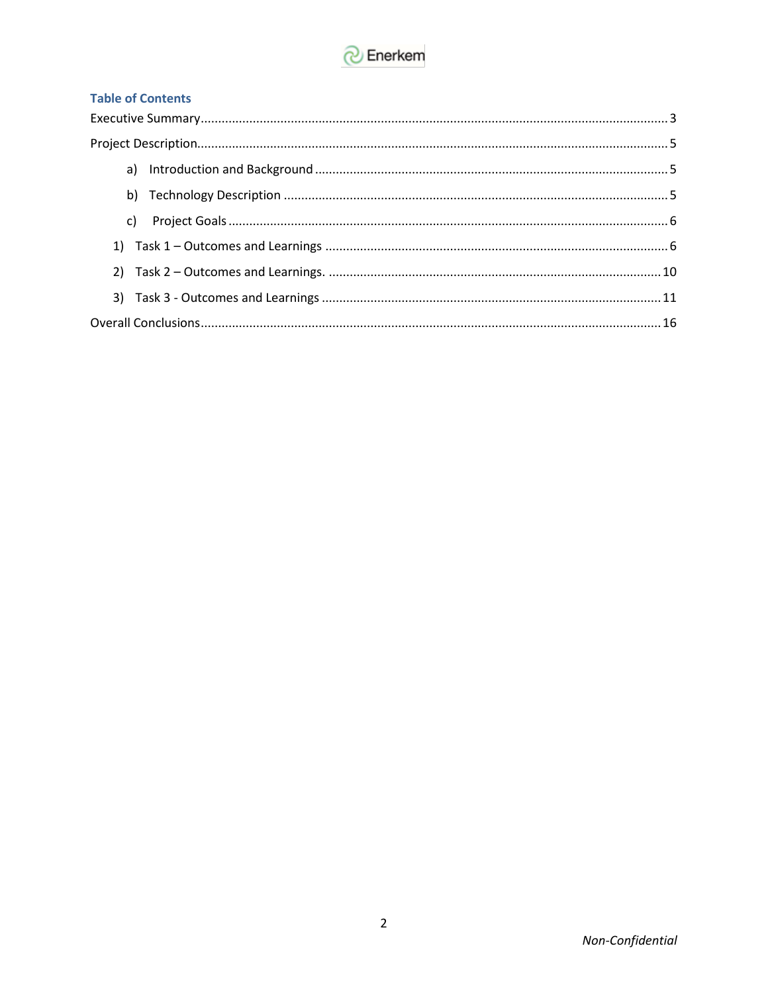

# **Table of Contents**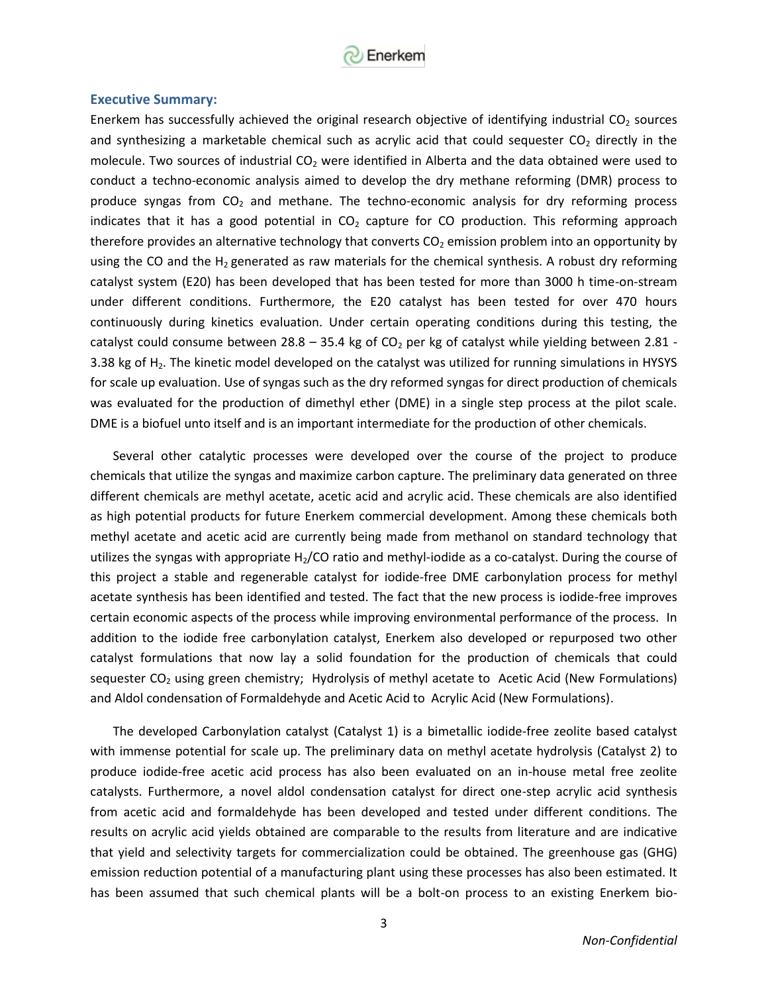

#### **Executive Summary:**

Enerkem has successfully achieved the original research objective of identifying industrial  $CO<sub>2</sub>$  sources and synthesizing a marketable chemical such as acrylic acid that could sequester  $CO<sub>2</sub>$  directly in the molecule. Two sources of industrial  $CO<sub>2</sub>$  were identified in Alberta and the data obtained were used to conduct a techno-economic analysis aimed to develop the dry methane reforming (DMR) process to produce syngas from  $CO<sub>2</sub>$  and methane. The techno-economic analysis for dry reforming process indicates that it has a good potential in  $CO<sub>2</sub>$  capture for CO production. This reforming approach therefore provides an alternative technology that converts  $CO<sub>2</sub>$  emission problem into an opportunity by using the CO and the  $H_2$  generated as raw materials for the chemical synthesis. A robust dry reforming catalyst system (E20) has been developed that has been tested for more than 3000 h time-on-stream under different conditions. Furthermore, the E20 catalyst has been tested for over 470 hours continuously during kinetics evaluation. Under certain operating conditions during this testing, the catalyst could consume between 28.8 – 35.4 kg of  $CO<sub>2</sub>$  per kg of catalyst while yielding between 2.81 -3.38 kg of H<sub>2</sub>. The kinetic model developed on the catalyst was utilized for running simulations in HYSYS for scale up evaluation. Use of syngas such as the dry reformed syngas for direct production of chemicals was evaluated for the production of dimethyl ether (DME) in a single step process at the pilot scale. DME is a biofuel unto itself and is an important intermediate for the production of other chemicals.

Several other catalytic processes were developed over the course of the project to produce chemicals that utilize the syngas and maximize carbon capture. The preliminary data generated on three different chemicals are methyl acetate, acetic acid and acrylic acid. These chemicals are also identified as high potential products for future Enerkem commercial development. Among these chemicals both methyl acetate and acetic acid are currently being made from methanol on standard technology that utilizes the syngas with appropriate  $H_2$ /CO ratio and methyl-iodide as a co-catalyst. During the course of this project a stable and regenerable catalyst for iodide-free DME carbonylation process for methyl acetate synthesis has been identified and tested. The fact that the new process is iodide-free improves certain economic aspects of the process while improving environmental performance of the process. In addition to the iodide free carbonylation catalyst, Enerkem also developed or repurposed two other catalyst formulations that now lay a solid foundation for the production of chemicals that could sequester  $CO<sub>2</sub>$  using green chemistry; Hydrolysis of methyl acetate to Acetic Acid (New Formulations) and Aldol condensation of Formaldehyde and Acetic Acid to Acrylic Acid (New Formulations).

The developed Carbonylation catalyst (Catalyst 1) is a bimetallic iodide-free zeolite based catalyst with immense potential for scale up. The preliminary data on methyl acetate hydrolysis (Catalyst 2) to produce iodide-free acetic acid process has also been evaluated on an in-house metal free zeolite catalysts. Furthermore, a novel aldol condensation catalyst for direct one-step acrylic acid synthesis from acetic acid and formaldehyde has been developed and tested under different conditions. The results on acrylic acid yields obtained are comparable to the results from literature and are indicative that yield and selectivity targets for commercialization could be obtained. The greenhouse gas (GHG) emission reduction potential of a manufacturing plant using these processes has also been estimated. It has been assumed that such chemical plants will be a bolt-on process to an existing Enerkem bio-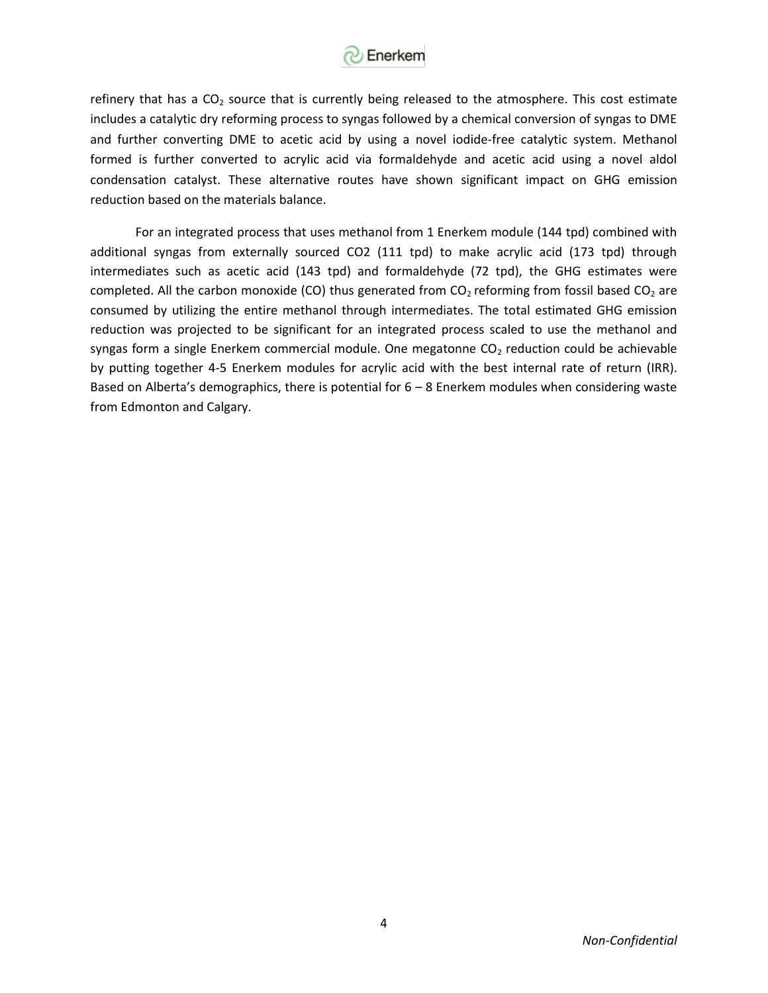

refinery that has a  $CO<sub>2</sub>$  source that is currently being released to the atmosphere. This cost estimate includes a catalytic dry reforming process to syngas followed by a chemical conversion of syngas to DME and further converting DME to acetic acid by using a novel iodide-free catalytic system. Methanol formed is further converted to acrylic acid via formaldehyde and acetic acid using a novel aldol condensation catalyst. These alternative routes have shown significant impact on GHG emission reduction based on the materials balance.

<span id="page-3-0"></span>For an integrated process that uses methanol from 1 Enerkem module (144 tpd) combined with additional syngas from externally sourced CO2 (111 tpd) to make acrylic acid (173 tpd) through intermediates such as acetic acid (143 tpd) and formaldehyde (72 tpd), the GHG estimates were completed. All the carbon monoxide (CO) thus generated from  $CO<sub>2</sub>$  reforming from fossil based  $CO<sub>2</sub>$  are consumed by utilizing the entire methanol through intermediates. The total estimated GHG emission reduction was projected to be significant for an integrated process scaled to use the methanol and syngas form a single Enerkem commercial module. One megatonne  $CO<sub>2</sub>$  reduction could be achievable by putting together 4-5 Enerkem modules for acrylic acid with the best internal rate of return (IRR). Based on Alberta's demographics, there is potential for  $6 - 8$  Enerkem modules when considering waste from Edmonton and Calgary.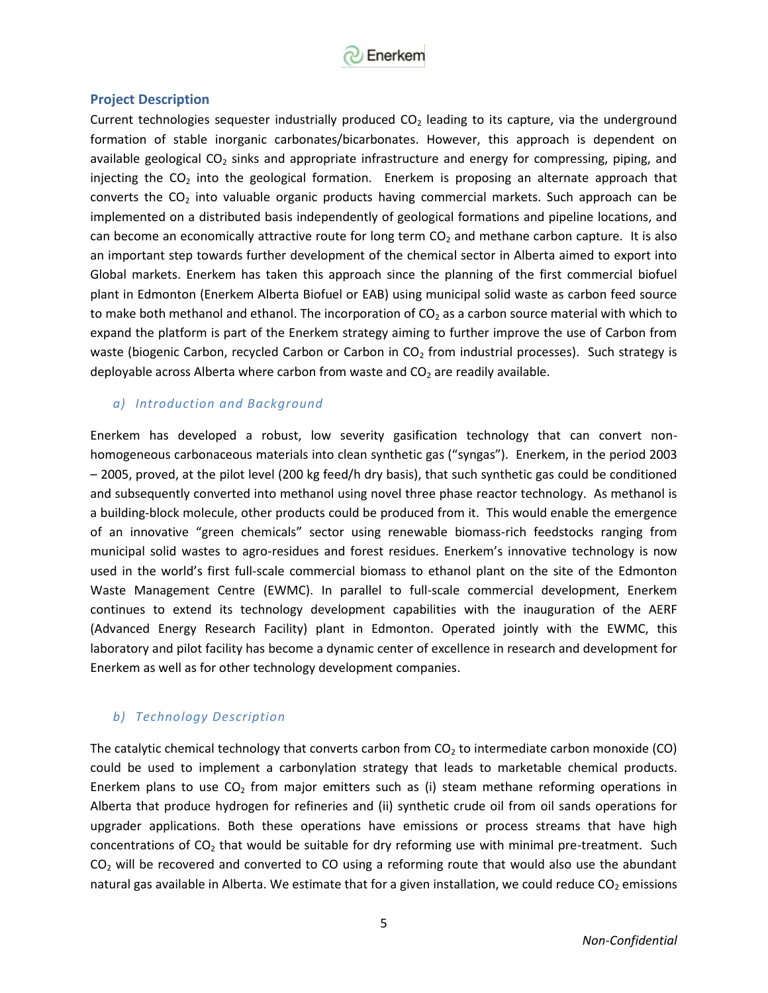

### **Project Description**

Current technologies sequester industrially produced  $CO<sub>2</sub>$  leading to its capture, via the underground formation of stable inorganic carbonates/bicarbonates. However, this approach is dependent on available geological  $CO<sub>2</sub>$  sinks and appropriate infrastructure and energy for compressing, piping, and injecting the  $CO<sub>2</sub>$  into the geological formation. Enerkem is proposing an alternate approach that converts the  $CO<sub>2</sub>$  into valuable organic products having commercial markets. Such approach can be implemented on a distributed basis independently of geological formations and pipeline locations, and can become an economically attractive route for long term  $CO<sub>2</sub>$  and methane carbon capture. It is also an important step towards further development of the chemical sector in Alberta aimed to export into Global markets. Enerkem has taken this approach since the planning of the first commercial biofuel plant in Edmonton (Enerkem Alberta Biofuel or EAB) using municipal solid waste as carbon feed source to make both methanol and ethanol. The incorporation of  $CO<sub>2</sub>$  as a carbon source material with which to expand the platform is part of the Enerkem strategy aiming to further improve the use of Carbon from waste (biogenic Carbon, recycled Carbon or Carbon in  $CO<sub>2</sub>$  from industrial processes). Such strategy is deployable across Alberta where carbon from waste and  $CO<sub>2</sub>$  are readily available.

#### *a) Introduction and Background*

Enerkem has developed a robust, low severity gasification technology that can convert nonhomogeneous carbonaceous materials into clean synthetic gas ("syngas"). Enerkem, in the period 2003 – 2005, proved, at the pilot level (200 kg feed/h dry basis), that such synthetic gas could be conditioned and subsequently converted into methanol using novel three phase reactor technology. As methanol is a building-block molecule, other products could be produced from it. This would enable the emergence of an innovative "green chemicals" sector using renewable biomass-rich feedstocks ranging from municipal solid wastes to agro-residues and forest residues. Enerkem's innovative technology is now used in the world's first full-scale commercial biomass to ethanol plant on the site of the Edmonton Waste Management Centre (EWMC). In parallel to full-scale commercial development, Enerkem continues to extend its technology development capabilities with the inauguration of the AERF (Advanced Energy Research Facility) plant in Edmonton. Operated jointly with the EWMC, this laboratory and pilot facility has become a dynamic center of excellence in research and development for Enerkem as well as for other technology development companies.

### *b) Technology Description*

The catalytic chemical technology that converts carbon from  $CO<sub>2</sub>$  to intermediate carbon monoxide (CO) could be used to implement a carbonylation strategy that leads to marketable chemical products. Enerkem plans to use  $CO<sub>2</sub>$  from major emitters such as (i) steam methane reforming operations in Alberta that produce hydrogen for refineries and (ii) synthetic crude oil from oil sands operations for upgrader applications. Both these operations have emissions or process streams that have high concentrations of  $CO<sub>2</sub>$  that would be suitable for dry reforming use with minimal pre-treatment. Such  $CO<sub>2</sub>$  will be recovered and converted to CO using a reforming route that would also use the abundant natural gas available in Alberta. We estimate that for a given installation, we could reduce  $CO<sub>2</sub>$  emissions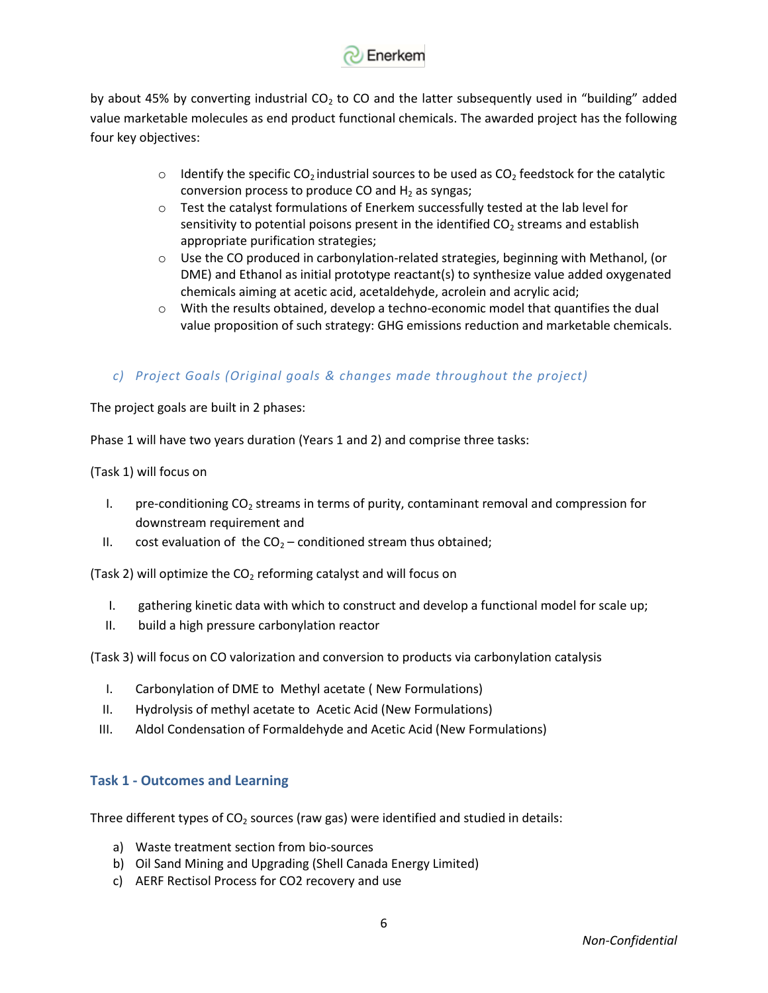

by about 45% by converting industrial  $CO<sub>2</sub>$  to CO and the latter subsequently used in "building" added value marketable molecules as end product functional chemicals. The awarded project has the following four key objectives:

- $\circ$  Identify the specific CO<sub>2</sub> industrial sources to be used as CO<sub>2</sub> feedstock for the catalytic conversion process to produce CO and  $H_2$  as syngas;
- o Test the catalyst formulations of Enerkem successfully tested at the lab level for sensitivity to potential poisons present in the identified  $CO<sub>2</sub>$  streams and establish appropriate purification strategies;
- $\circ$  Use the CO produced in carbonylation-related strategies, beginning with Methanol, (or DME) and Ethanol as initial prototype reactant(s) to synthesize value added oxygenated chemicals aiming at acetic acid, acetaldehyde, acrolein and acrylic acid;
- o With the results obtained, develop a techno-economic model that quantifies the dual value proposition of such strategy: GHG emissions reduction and marketable chemicals.

# *c) Project Goals (Original goals & changes made throughout the project)*

The project goals are built in 2 phases:

Phase 1 will have two years duration (Years 1 and 2) and comprise three tasks:

(Task 1) will focus on

- I. pre-conditioning  $CO<sub>2</sub>$  streams in terms of purity, contaminant removal and compression for downstream requirement and
- II. cost evaluation of the  $CO<sub>2</sub>$  conditioned stream thus obtained;

(Task 2) will optimize the  $CO<sub>2</sub>$  reforming catalyst and will focus on

- I. gathering kinetic data with which to construct and develop a functional model for scale up;
- II. build a high pressure carbonylation reactor

(Task 3) will focus on CO valorization and conversion to products via carbonylation catalysis

- I. Carbonylation of DME to Methyl acetate ( New Formulations)
- II. Hydrolysis of methyl acetate to Acetic Acid (New Formulations)
- III. Aldol Condensation of Formaldehyde and Acetic Acid (New Formulations)

### **Task 1 - Outcomes and Learning**

Three different types of  $CO<sub>2</sub>$  sources (raw gas) were identified and studied in details:

- a) Waste treatment section from bio-sources
- b) Oil Sand Mining and Upgrading (Shell Canada Energy Limited)
- c) AERF Rectisol Process for CO2 recovery and use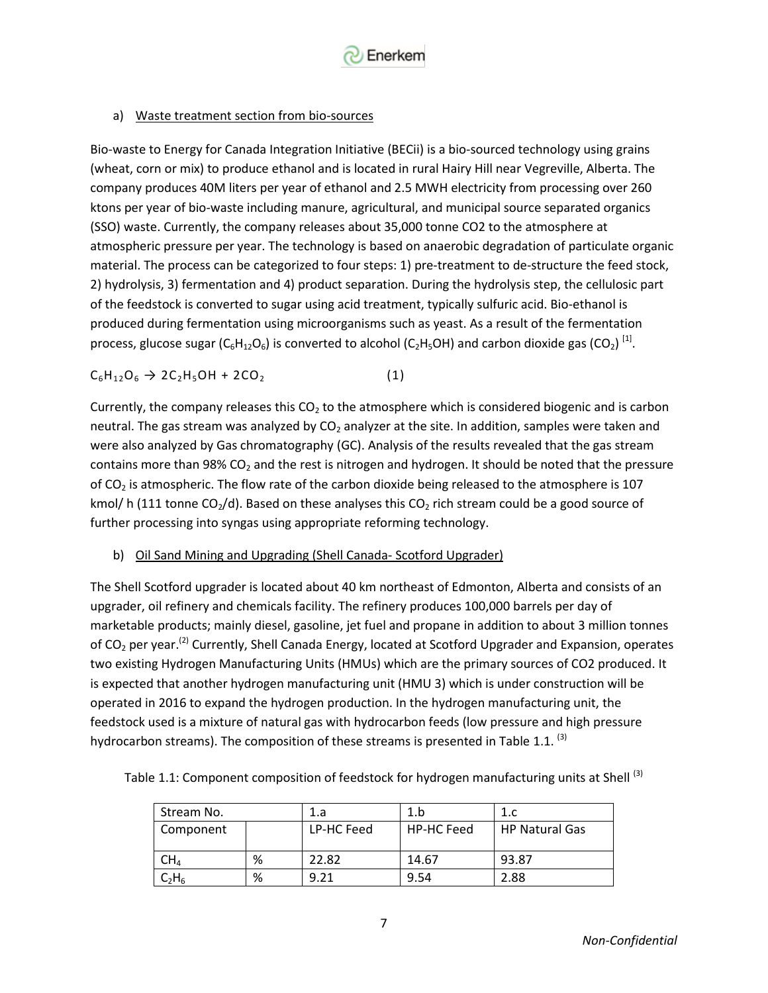

### a) Waste treatment section from bio-sources

Bio-waste to Energy for Canada Integration Initiative (BECii) is a bio-sourced technology using grains (wheat, corn or mix) to produce ethanol and is located in rural Hairy Hill near Vegreville, Alberta. The company produces 40M liters per year of ethanol and 2.5 MWH electricity from processing over 260 ktons per year of bio-waste including manure, agricultural, and municipal source separated organics (SSO) waste. Currently, the company releases about 35,000 tonne CO2 to the atmosphere at atmospheric pressure per year. The technology is based on anaerobic degradation of particulate organic material. The process can be categorized to four steps: 1) pre-treatment to de-structure the feed stock, 2) hydrolysis, 3) fermentation and 4) product separation. During the hydrolysis step, the cellulosic part of the feedstock is converted to sugar using acid treatment, typically sulfuric acid. Bio-ethanol is produced during fermentation using microorganisms such as yeast. As a result of the fermentation process, glucose sugar (C $_6$ H $_{12}$ O $_6$ ) is converted to alcohol (C<sub>2</sub>H $_5$ OH) and carbon dioxide gas (CO<sub>2</sub>) <sup>[1]</sup>.

$$
C_6H_{12}O_6 \to 2C_2H_5OH + 2CO_2
$$
 (1)

Currently, the company releases this  $CO<sub>2</sub>$  to the atmosphere which is considered biogenic and is carbon neutral. The gas stream was analyzed by CO<sub>2</sub> analyzer at the site. In addition, samples were taken and were also analyzed by Gas chromatography (GC). Analysis of the results revealed that the gas stream contains more than 98%  $CO<sub>2</sub>$  and the rest is nitrogen and hydrogen. It should be noted that the pressure of  $CO<sub>2</sub>$  is atmospheric. The flow rate of the carbon dioxide being released to the atmosphere is 107 kmol/ h (111 tonne CO<sub>2</sub>/d). Based on these analyses this CO<sub>2</sub> rich stream could be a good source of further processing into syngas using appropriate reforming technology.

b) Oil Sand Mining and Upgrading (Shell Canada- Scotford Upgrader)

The Shell Scotford upgrader is located about 40 km northeast of Edmonton, Alberta and consists of an upgrader, oil refinery and chemicals facility. The refinery produces 100,000 barrels per day of marketable products; mainly diesel, gasoline, jet fuel and propane in addition to about 3 million tonnes of CO<sub>2</sub> per year.<sup>(2)</sup> Currently, Shell Canada Energy, located at Scotford Upgrader and Expansion, operates two existing Hydrogen Manufacturing Units (HMUs) which are the primary sources of CO2 produced. It is expected that another hydrogen manufacturing unit (HMU 3) which is under construction will be operated in 2016 to expand the hydrogen production. In the hydrogen manufacturing unit, the feedstock used is a mixture of natural gas with hydrocarbon feeds (low pressure and high pressure hydrocarbon streams). The composition of these streams is presented in Table 1.1.<sup>(3)</sup>

|  |  |  | Table 1.1: Component composition of feedstock for hydrogen manufacturing units at Shell <sup>(3)</sup> |
|--|--|--|--------------------------------------------------------------------------------------------------------|
|  |  |  |                                                                                                        |

| Stream No.      |   | 1.a        | 1.b               |                       |
|-----------------|---|------------|-------------------|-----------------------|
| Component       |   | LP-HC Feed | <b>HP-HC Feed</b> | <b>HP Natural Gas</b> |
| $\mathsf{CH}_4$ | % | 22.82      | 14.67             | 93.87                 |
|                 | % | 9.21       | 9.54              | 2.88                  |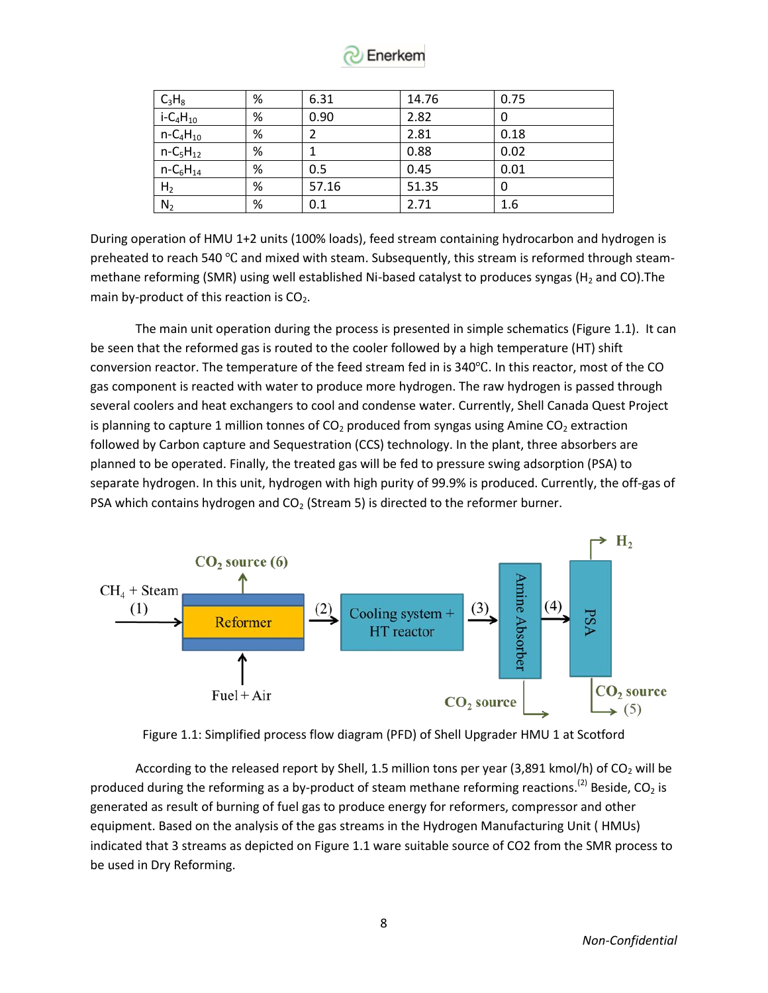

| $C_3H_8$                            | % | 6.31  | 14.76 | 0.75 |
|-------------------------------------|---|-------|-------|------|
| $i$ -C <sub>4</sub> H <sub>10</sub> | % | 0.90  | 2.82  | 0    |
| $n - C_4H_{10}$                     | % |       | 2.81  | 0.18 |
| $n - C_5H_{12}$                     | % |       | 0.88  | 0.02 |
| $n - C_6H_{14}$                     | % | 0.5   | 0.45  | 0.01 |
| H <sub>2</sub>                      | % | 57.16 | 51.35 | 0    |
| N <sub>2</sub>                      | % | 0.1   | 2.71  | 1.6  |

During operation of HMU 1+2 units (100% loads), feed stream containing hydrocarbon and hydrogen is preheated to reach 540 ℃ and mixed with steam. Subsequently, this stream is reformed through steammethane reforming (SMR) using well established Ni-based catalyst to produces syngas (H<sub>2</sub> and CO). The main by-product of this reaction is  $CO<sub>2</sub>$ .

The main unit operation during the process is presented in simple schematics (Figure 1.1). It can be seen that the reformed gas is routed to the cooler followed by a high temperature (HT) shift conversion reactor. The temperature of the feed stream fed in is 340℃. In this reactor, most of the CO gas component is reacted with water to produce more hydrogen. The raw hydrogen is passed through several coolers and heat exchangers to cool and condense water. Currently, Shell Canada Quest Project is planning to capture 1 million tonnes of  $CO<sub>2</sub>$  produced from syngas using Amine  $CO<sub>2</sub>$  extraction followed by Carbon capture and Sequestration (CCS) technology. In the plant, three absorbers are planned to be operated. Finally, the treated gas will be fed to pressure swing adsorption (PSA) to separate hydrogen. In this unit, hydrogen with high purity of 99.9% is produced. Currently, the off-gas of PSA which contains hydrogen and  $CO<sub>2</sub>$  (Stream 5) is directed to the reformer burner.





According to the released report by Shell, 1.5 million tons per year (3,891 kmol/h) of  $CO<sub>2</sub>$  will be produced during the reforming as a by-product of steam methane reforming reactions.<sup>(2)</sup> Beside, CO<sub>2</sub> is generated as result of burning of fuel gas to produce energy for reformers, compressor and other equipment. Based on the analysis of the gas streams in the Hydrogen Manufacturing Unit ( HMUs) indicated that 3 streams as depicted on Figure 1.1 ware suitable source of CO2 from the SMR process to be used in Dry Reforming.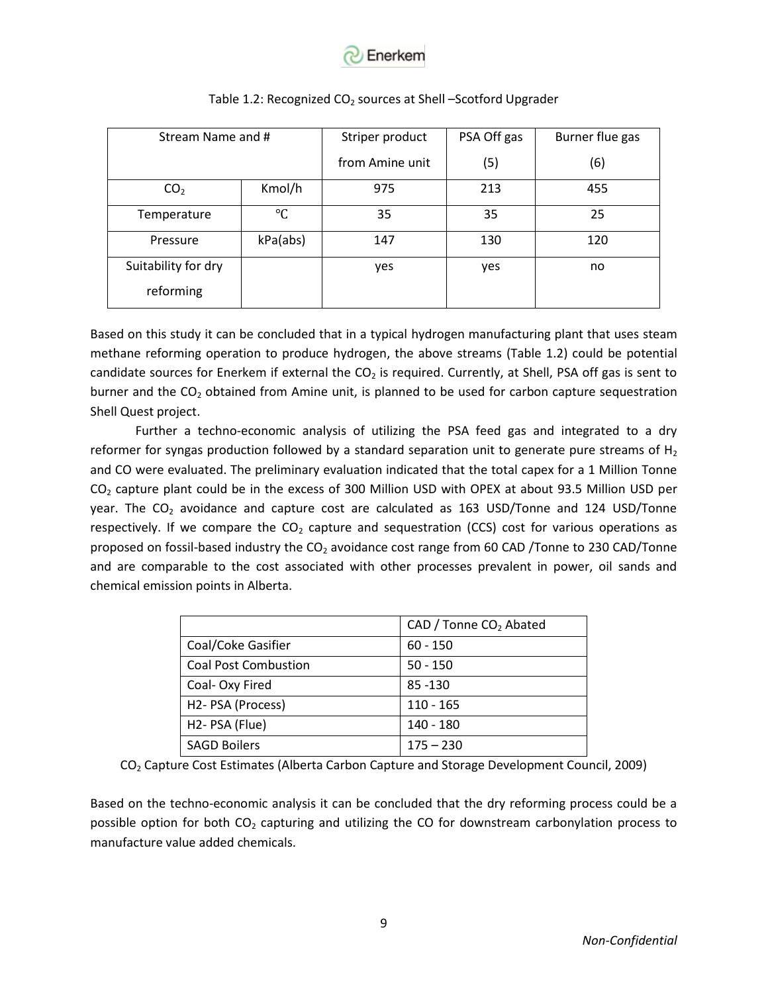

| Stream Name and #   |                 | PSA Off gas<br>Striper product |     | Burner flue gas |  |
|---------------------|-----------------|--------------------------------|-----|-----------------|--|
|                     |                 | from Amine unit                | (5) | (6)             |  |
| CO <sub>2</sub>     | Kmol/h          | 975                            | 213 | 455             |  |
| Temperature         | $\rm ^{\circ}C$ | 35                             | 35  | 25              |  |
| Pressure            | kPa(abs)        | 147                            | 130 | 120             |  |
| Suitability for dry |                 | yes                            | yes | no              |  |
| reforming           |                 |                                |     |                 |  |

#### Table 1.2: Recognized  $CO<sub>2</sub>$  sources at Shell –Scotford Upgrader

Based on this study it can be concluded that in a typical hydrogen manufacturing plant that uses steam methane reforming operation to produce hydrogen, the above streams (Table 1.2) could be potential candidate sources for Enerkem if external the  $CO<sub>2</sub>$  is required. Currently, at Shell, PSA off gas is sent to burner and the  $CO<sub>2</sub>$  obtained from Amine unit, is planned to be used for carbon capture sequestration Shell Quest project.

Further a techno-economic analysis of utilizing the PSA feed gas and integrated to a dry reformer for syngas production followed by a standard separation unit to generate pure streams of  $H_2$ and CO were evaluated. The preliminary evaluation indicated that the total capex for a 1 Million Tonne CO<sub>2</sub> capture plant could be in the excess of 300 Million USD with OPEX at about 93.5 Million USD per year. The  $CO<sub>2</sub>$  avoidance and capture cost are calculated as 163 USD/Tonne and 124 USD/Tonne respectively. If we compare the  $CO<sub>2</sub>$  capture and sequestration (CCS) cost for various operations as proposed on fossil-based industry the CO<sub>2</sub> avoidance cost range from 60 CAD /Tonne to 230 CAD/Tonne and are comparable to the cost associated with other processes prevalent in power, oil sands and chemical emission points in Alberta.

| CAD / Tonne CO <sub>2</sub> Abated |
|------------------------------------|
| $60 - 150$                         |
| $50 - 150$                         |
| 85 - 130                           |
| $110 - 165$                        |
| 140 - 180                          |
| $175 - 230$                        |
|                                    |

CO<sup>2</sup> Capture Cost Estimates (Alberta Carbon Capture and Storage Development Council, 2009)

Based on the techno-economic analysis it can be concluded that the dry reforming process could be a possible option for both  $CO<sub>2</sub>$  capturing and utilizing the CO for downstream carbonylation process to manufacture value added chemicals.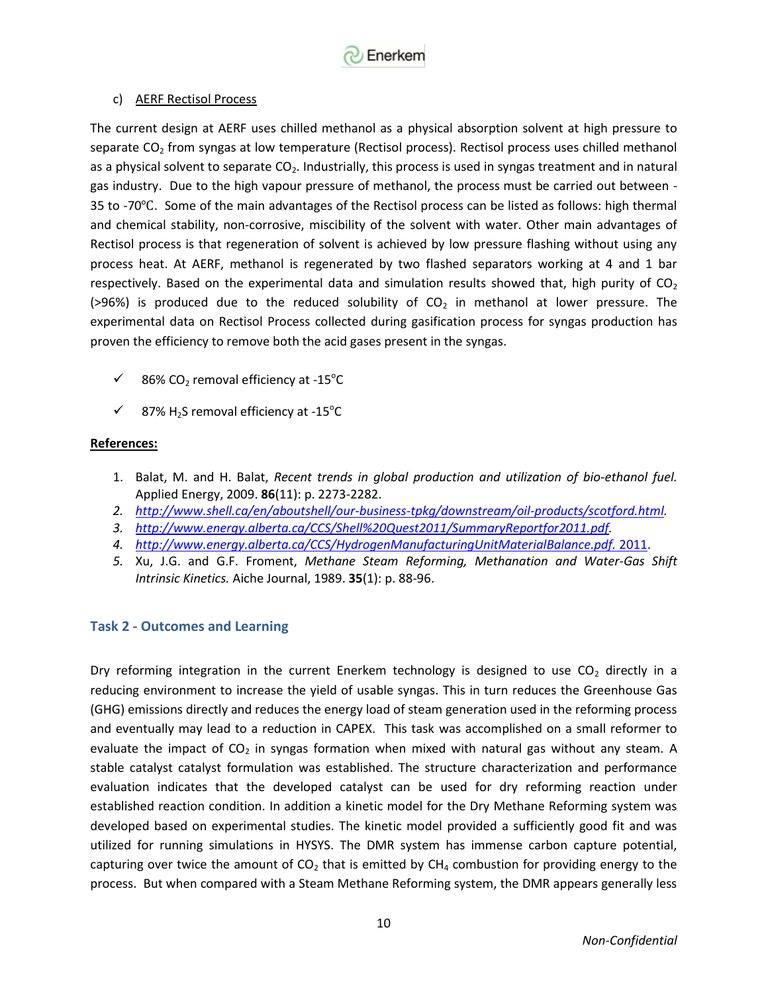

#### c) AERF Rectisol Process

The current design at AERF uses chilled methanol as a physical absorption solvent at high pressure to separate  $CO<sub>2</sub>$  from syngas at low temperature (Rectisol process). Rectisol process uses chilled methanol as a physical solvent to separate CO<sub>2</sub>. Industrially, this process is used in syngas treatment and in natural gas industry. Due to the high vapour pressure of methanol, the process must be carried out between - 35 to -70℃. Some of the main advantages of the Rectisol process can be listed as follows: high thermal and chemical stability, non-corrosive, miscibility of the solvent with water. Other main advantages of Rectisol process is that regeneration of solvent is achieved by low pressure flashing without using any process heat. At AERF, methanol is regenerated by two flashed separators working at 4 and 1 bar respectively. Based on the experimental data and simulation results showed that, high purity of  $CO<sub>2</sub>$ (>96%) is produced due to the reduced solubility of  $CO<sub>2</sub>$  in methanol at lower pressure. The experimental data on Rectisol Process collected during gasification process for syngas production has proven the efficiency to remove both the acid gases present in the syngas.

- $\checkmark$  86% CO<sub>2</sub> removal efficiency at -15<sup>°</sup>C
- $\checkmark$  87% H<sub>2</sub>S removal efficiency at -15<sup>°</sup>C

### **References:**

- 1. Balat, M. and H. Balat, *Recent trends in global production and utilization of bio-ethanol fuel.* Applied Energy, 2009. **86**(11): p. 2273-2282.
- *2. [http://www.shell.ca/en/aboutshell/our-business-tpkg/downstream/oil-products/scotford.html.](http://www.shell.ca/en/aboutshell/our-business-tpkg/downstream/oil-products/scotford.html)*
- *3. [http://www.energy.alberta.ca/CCS/Shell%20Quest2011/SummaryReportfor2011.pdf.](http://www.energy.alberta.ca/CCS/Shell%20Quest2011/SummaryReportfor2011.pdf)*
- *4. [http://www.energy.alberta.ca/CCS/HydrogenManufacturingUnitMaterialBalance.pdf.](http://www.energy.alberta.ca/CCS/HydrogenManufacturingUnitMaterialBalance.pdf.%202011)* 2011.
- *5.* Xu, J.G. and G.F. Froment, *Methane Steam Reforming, Methanation and Water-Gas Shift Intrinsic Kinetics.* Aiche Journal, 1989. **35**(1): p. 88-96.

### **Task 2 - Outcomes and Learning**

Dry reforming integration in the current Enerkem technology is designed to use  $CO<sub>2</sub>$  directly in a reducing environment to increase the yield of usable syngas. This in turn reduces the Greenhouse Gas (GHG) emissions directly and reduces the energy load of steam generation used in the reforming process and eventually may lead to a reduction in CAPEX. This task was accomplished on a small reformer to evaluate the impact of  $CO<sub>2</sub>$  in syngas formation when mixed with natural gas without any steam. A stable catalyst catalyst formulation was established. The structure characterization and performance evaluation indicates that the developed catalyst can be used for dry reforming reaction under established reaction condition. In addition a kinetic model for the Dry Methane Reforming system was developed based on experimental studies. The kinetic model provided a sufficiently good fit and was utilized for running simulations in HYSYS. The DMR system has immense carbon capture potential, capturing over twice the amount of  $CO<sub>2</sub>$  that is emitted by CH<sub>4</sub> combustion for providing energy to the process. But when compared with a Steam Methane Reforming system, the DMR appears generally less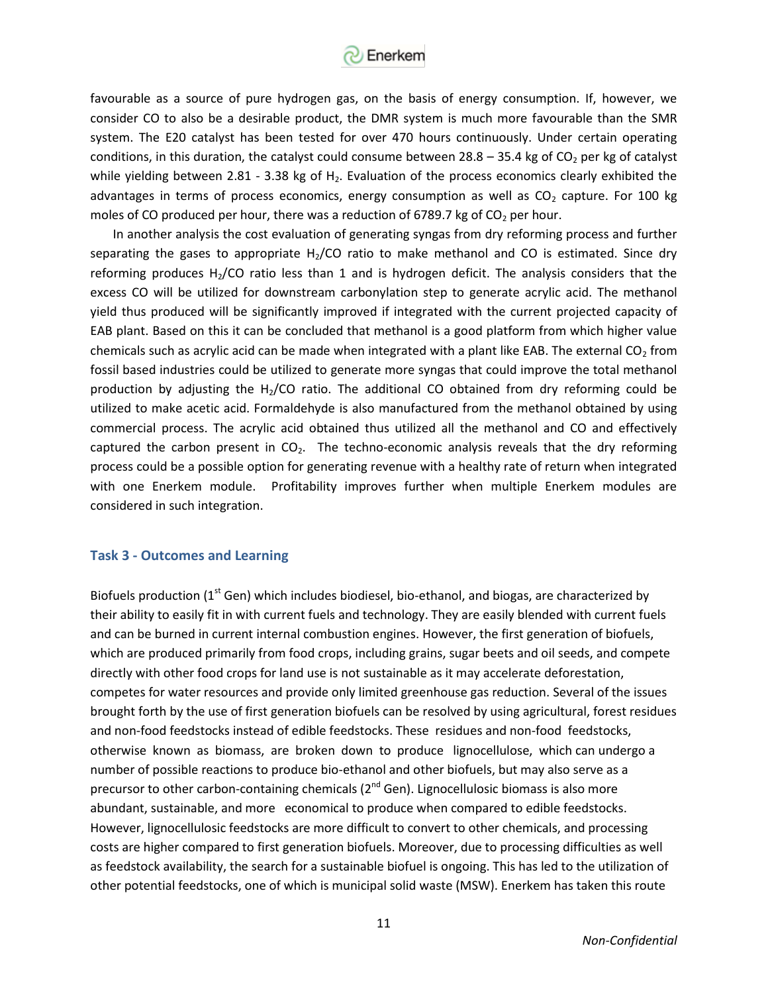

favourable as a source of pure hydrogen gas, on the basis of energy consumption. If, however, we consider CO to also be a desirable product, the DMR system is much more favourable than the SMR system. The E20 catalyst has been tested for over 470 hours continuously. Under certain operating conditions, in this duration, the catalyst could consume between  $28.8 - 35.4$  kg of CO<sub>2</sub> per kg of catalyst while yielding between 2.81 - 3.38 kg of  $H_2$ . Evaluation of the process economics clearly exhibited the advantages in terms of process economics, energy consumption as well as  $CO<sub>2</sub>$  capture. For 100 kg moles of CO produced per hour, there was a reduction of 6789.7 kg of  $CO<sub>2</sub>$  per hour.

In another analysis the cost evaluation of generating syngas from dry reforming process and further separating the gases to appropriate  $H_2$ /CO ratio to make methanol and CO is estimated. Since dry reforming produces  $H<sub>2</sub>/CO$  ratio less than 1 and is hydrogen deficit. The analysis considers that the excess CO will be utilized for downstream carbonylation step to generate acrylic acid. The methanol yield thus produced will be significantly improved if integrated with the current projected capacity of EAB plant. Based on this it can be concluded that methanol is a good platform from which higher value chemicals such as acrylic acid can be made when integrated with a plant like EAB. The external CO<sub>2</sub> from fossil based industries could be utilized to generate more syngas that could improve the total methanol production by adjusting the  $H_2/CO$  ratio. The additional CO obtained from dry reforming could be utilized to make acetic acid. Formaldehyde is also manufactured from the methanol obtained by using commercial process. The acrylic acid obtained thus utilized all the methanol and CO and effectively captured the carbon present in  $CO<sub>2</sub>$ . The techno-economic analysis reveals that the dry reforming process could be a possible option for generating revenue with a healthy rate of return when integrated with one Enerkem module. Profitability improves further when multiple Enerkem modules are considered in such integration.

#### **Task 3 - Outcomes and Learning**

Biofuels production ( $1<sup>st</sup>$  Gen) which includes biodiesel, bio-ethanol, and biogas, are characterized by their ability to easily fit in with current fuels and technology. They are easily blended with current fuels and can be burned in current internal combustion engines. However, the first generation of biofuels, which are produced primarily from food crops, including grains, sugar beets and oil seeds, and compete directly with other food crops for land use is not sustainable as it may accelerate deforestation, competes for water resources and provide only limited greenhouse gas reduction. Several of the issues brought forth by the use of first generation biofuels can be resolved by using agricultural, forest residues and non-food feedstocks instead of edible feedstocks. These residues and non-food feedstocks, otherwise known as biomass, are broken down to produce lignocellulose, which can undergo a number of possible reactions to produce bio-ethanol and other biofuels, but may also serve as a precursor to other carbon-containing chemicals  $(2^{nd}$  Gen). Lignocellulosic biomass is also more abundant, sustainable, and more economical to produce when compared to edible feedstocks. However, lignocellulosic feedstocks are more difficult to convert to other chemicals, and processing costs are higher compared to first generation biofuels. Moreover, due to processing difficulties as well as feedstock availability, the search for a sustainable biofuel is ongoing. This has led to the utilization of other potential feedstocks, one of which is municipal solid waste (MSW). Enerkem has taken this route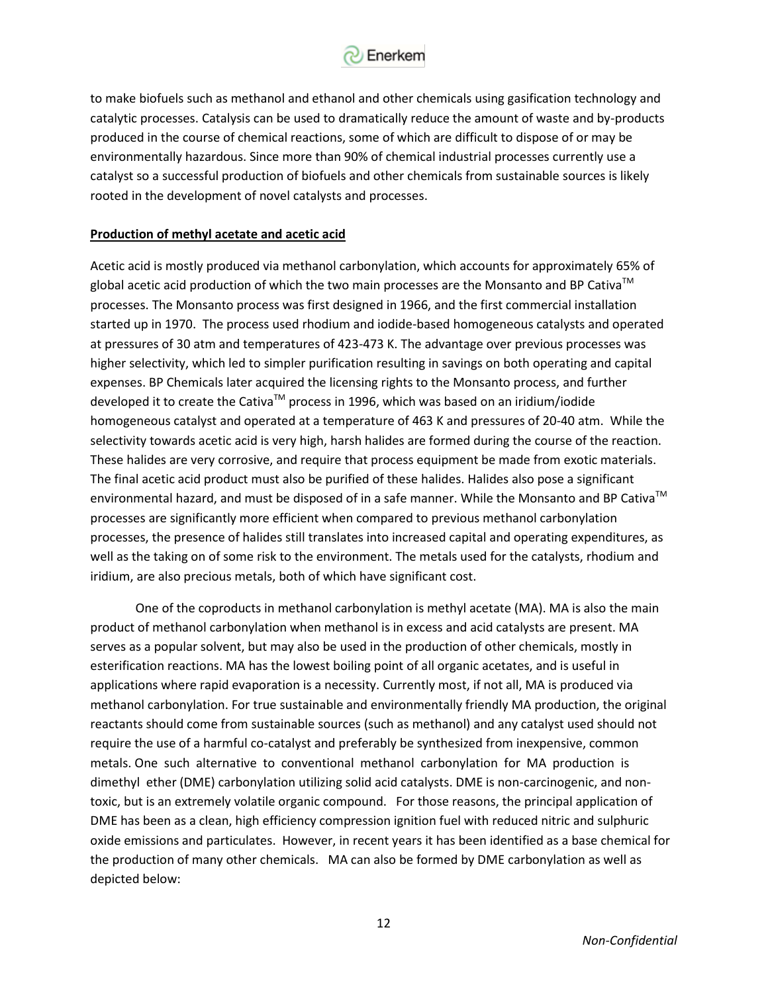

to make biofuels such as methanol and ethanol and other chemicals using gasification technology and catalytic processes. Catalysis can be used to dramatically reduce the amount of waste and by-products produced in the course of chemical reactions, some of which are difficult to dispose of or may be environmentally hazardous. Since more than 90% of chemical industrial processes currently use a catalyst so a successful production of biofuels and other chemicals from sustainable sources is likely rooted in the development of novel catalysts and processes.

#### **Production of methyl acetate and acetic acid**

Acetic acid is mostly produced via methanol carbonylation, which accounts for approximately 65% of global acetic acid production of which the two main processes are the Monsanto and BP Cativa<sup>TM</sup> processes. The Monsanto process was first designed in 1966, and the first commercial installation started up in 1970. The process used rhodium and iodide-based homogeneous catalysts and operated at pressures of 30 atm and temperatures of 423-473 K. The advantage over previous processes was higher selectivity, which led to simpler purification resulting in savings on both operating and capital expenses. BP Chemicals later acquired the licensing rights to the Monsanto process, and further developed it to create the Cativa™ process in 1996, which was based on an iridium/iodide homogeneous catalyst and operated at a temperature of 463 K and pressures of 20-40 atm. While the selectivity towards acetic acid is very high, harsh halides are formed during the course of the reaction. These halides are very corrosive, and require that process equipment be made from exotic materials. The final acetic acid product must also be purified of these halides. Halides also pose a significant environmental hazard, and must be disposed of in a safe manner. While the Monsanto and BP Cativa<sup>TM</sup> processes are significantly more efficient when compared to previous methanol carbonylation processes, the presence of halides still translates into increased capital and operating expenditures, as well as the taking on of some risk to the environment. The metals used for the catalysts, rhodium and iridium, are also precious metals, both of which have significant cost.

One of the coproducts in methanol carbonylation is methyl acetate (MA). MA is also the main product of methanol carbonylation when methanol is in excess and acid catalysts are present. MA serves as a popular solvent, but may also be used in the production of other chemicals, mostly in esterification reactions. MA has the lowest boiling point of all organic acetates, and is useful in applications where rapid evaporation is a necessity. Currently most, if not all, MA is produced via methanol carbonylation. For true sustainable and environmentally friendly MA production, the original reactants should come from sustainable sources (such as methanol) and any catalyst used should not require the use of a harmful co-catalyst and preferably be synthesized from inexpensive, common metals. One such alternative to conventional methanol carbonylation for MA production is dimethyl ether (DME) carbonylation utilizing solid acid catalysts. DME is non-carcinogenic, and nontoxic, but is an extremely volatile organic compound. For those reasons, the principal application of DME has been as a clean, high efficiency compression ignition fuel with reduced nitric and sulphuric oxide emissions and particulates. However, in recent years it has been identified as a base chemical for the production of many other chemicals. MA can also be formed by DME carbonylation as well as depicted below: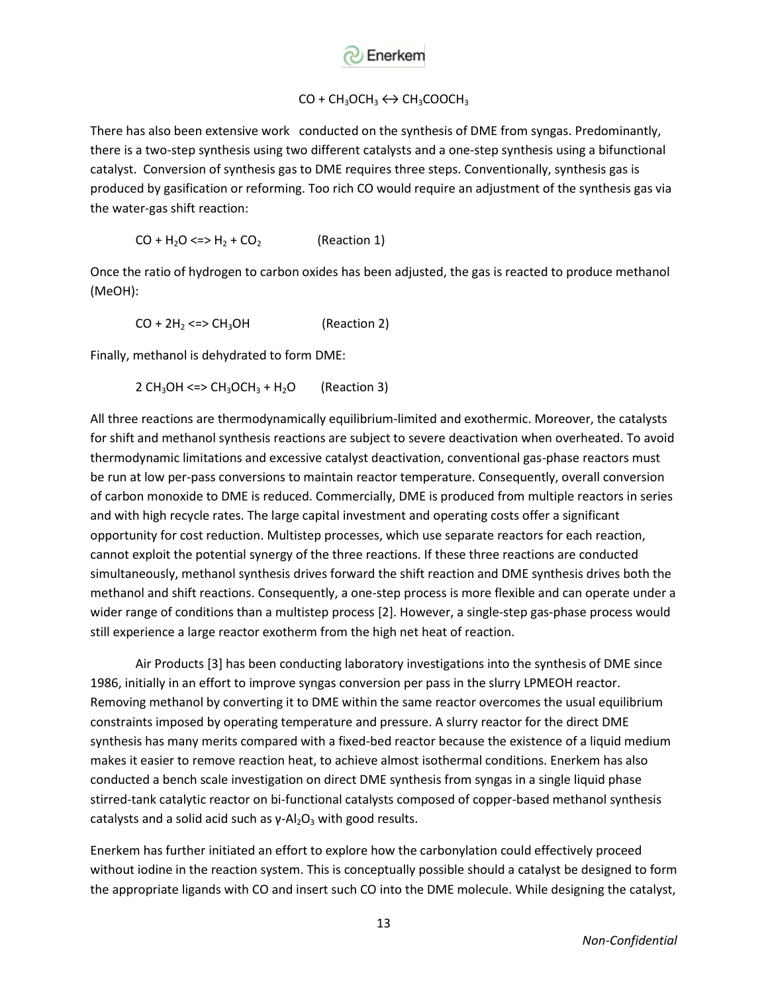

# $CO + CH_3OCH_3 \leftrightarrow CH_3COOCH_3$

There has also been extensive work conducted on the synthesis of DME from syngas. Predominantly, there is a two-step synthesis using two different catalysts and a one-step synthesis using a bifunctional catalyst. Conversion of synthesis gas to DME requires three steps. Conventionally, synthesis gas is produced by gasification or reforming. Too rich CO would require an adjustment of the synthesis gas via the water-gas shift reaction:

$$
CO + H2O \leq V + H2 + CO2
$$
 (Reaction 1)

Once the ratio of hydrogen to carbon oxides has been adjusted, the gas is reacted to produce methanol (MeOH):

 $CO + 2H<sub>2</sub> \leq S - CH<sub>3</sub>OH$  (Reaction 2)

Finally, methanol is dehydrated to form DME:

$$
2 CH3OH < = > CH3OCH3 + H2O
$$
 (Reaction 3)

All three reactions are thermodynamically equilibrium-limited and exothermic. Moreover, the catalysts for shift and methanol synthesis reactions are subject to severe deactivation when overheated. To avoid thermodynamic limitations and excessive catalyst deactivation, conventional gas-phase reactors must be run at low per-pass conversions to maintain reactor temperature. Consequently, overall conversion of carbon monoxide to DME is reduced. Commercially, DME is produced from multiple reactors in series and with high recycle rates. The large capital investment and operating costs offer a significant opportunity for cost reduction. Multistep processes, which use separate reactors for each reaction, cannot exploit the potential synergy of the three reactions. If these three reactions are conducted simultaneously, methanol synthesis drives forward the shift reaction and DME synthesis drives both the methanol and shift reactions. Consequently, a one-step process is more flexible and can operate under a wider range of conditions than a multistep process [2]. However, a single-step gas-phase process would still experience a large reactor exotherm from the high net heat of reaction.

Air Products [3] has been conducting laboratory investigations into the synthesis of DME since 1986, initially in an effort to improve syngas conversion per pass in the slurry LPMEOH reactor. Removing methanol by converting it to DME within the same reactor overcomes the usual equilibrium constraints imposed by operating temperature and pressure. A slurry reactor for the direct DME synthesis has many merits compared with a fixed-bed reactor because the existence of a liquid medium makes it easier to remove reaction heat, to achieve almost isothermal conditions. Enerkem has also conducted a bench scale investigation on direct DME synthesis from syngas in a single liquid phase stirred-tank catalytic reactor on bi-functional catalysts composed of copper-based methanol synthesis catalysts and a solid acid such as  $\gamma$ -Al<sub>2</sub>O<sub>3</sub> with good results.

Enerkem has further initiated an effort to explore how the carbonylation could effectively proceed without iodine in the reaction system. This is conceptually possible should a catalyst be designed to form the appropriate ligands with CO and insert such CO into the DME molecule. While designing the catalyst,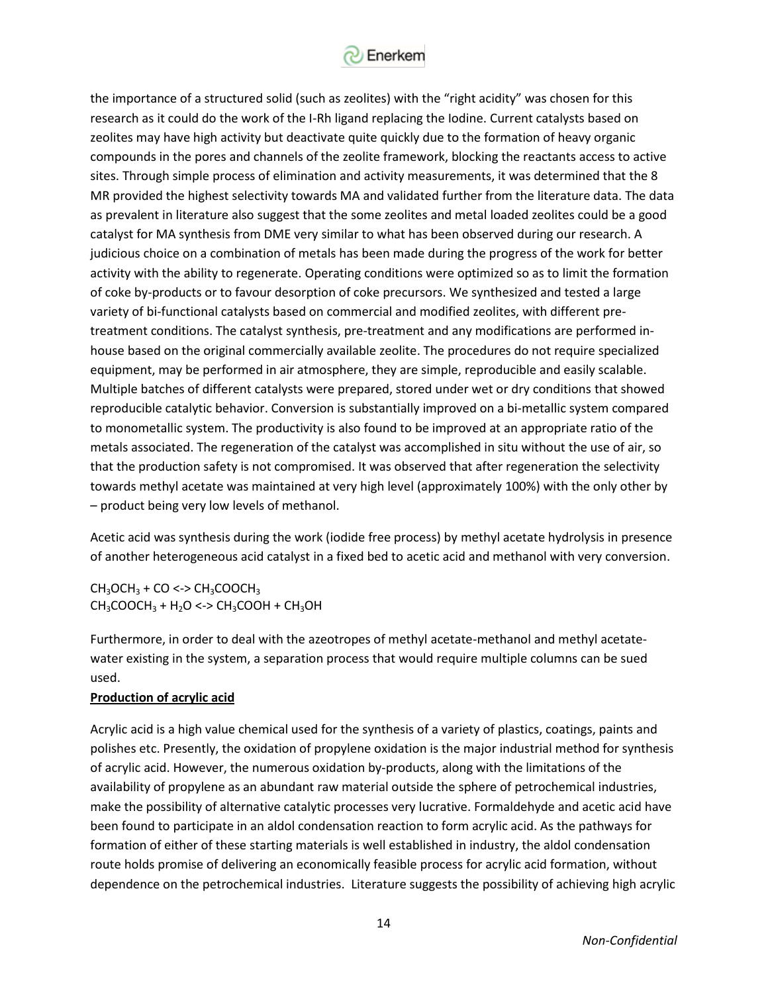

the importance of a structured solid (such as zeolites) with the "right acidity" was chosen for this research as it could do the work of the I-Rh ligand replacing the Iodine. Current catalysts based on zeolites may have high activity but deactivate quite quickly due to the formation of heavy organic compounds in the pores and channels of the zeolite framework, blocking the reactants access to active sites. Through simple process of elimination and activity measurements, it was determined that the 8 MR provided the highest selectivity towards MA and validated further from the literature data. The data as prevalent in literature also suggest that the some zeolites and metal loaded zeolites could be a good catalyst for MA synthesis from DME very similar to what has been observed during our research. A judicious choice on a combination of metals has been made during the progress of the work for better activity with the ability to regenerate. Operating conditions were optimized so as to limit the formation of coke by-products or to favour desorption of coke precursors. We synthesized and tested a large variety of bi-functional catalysts based on commercial and modified zeolites, with different pretreatment conditions. The catalyst synthesis, pre-treatment and any modifications are performed inhouse based on the original commercially available zeolite. The procedures do not require specialized equipment, may be performed in air atmosphere, they are simple, reproducible and easily scalable. Multiple batches of different catalysts were prepared, stored under wet or dry conditions that showed reproducible catalytic behavior. Conversion is substantially improved on a bi-metallic system compared to monometallic system. The productivity is also found to be improved at an appropriate ratio of the metals associated. The regeneration of the catalyst was accomplished in situ without the use of air, so that the production safety is not compromised. It was observed that after regeneration the selectivity towards methyl acetate was maintained at very high level (approximately 100%) with the only other by – product being very low levels of methanol.

Acetic acid was synthesis during the work (iodide free process) by methyl acetate hydrolysis in presence of another heterogeneous acid catalyst in a fixed bed to acetic acid and methanol with very conversion.

 $CH<sub>3</sub>OCH<sub>3</sub> + CO <\gt>CH<sub>3</sub>COOCH<sub>3</sub>$  $CH<sub>3</sub>COOCH<sub>3</sub> + H<sub>2</sub>O \leq PCH<sub>3</sub>COOH + CH<sub>3</sub>OH$ 

Furthermore, in order to deal with the azeotropes of methyl acetate-methanol and methyl acetatewater existing in the system, a separation process that would require multiple columns can be sued used.

#### **Production of acrylic acid**

Acrylic acid is a high value chemical used for the synthesis of a variety of plastics, coatings, paints and polishes etc. Presently, the oxidation of propylene oxidation is the major industrial method for synthesis of acrylic acid. However, the numerous oxidation by-products, along with the limitations of the availability of propylene as an abundant raw material outside the sphere of petrochemical industries, make the possibility of alternative catalytic processes very lucrative. Formaldehyde and acetic acid have been found to participate in an aldol condensation reaction to form acrylic acid. As the pathways for formation of either of these starting materials is well established in industry, the aldol condensation route holds promise of delivering an economically feasible process for acrylic acid formation, without dependence on the petrochemical industries. Literature suggests the possibility of achieving high acrylic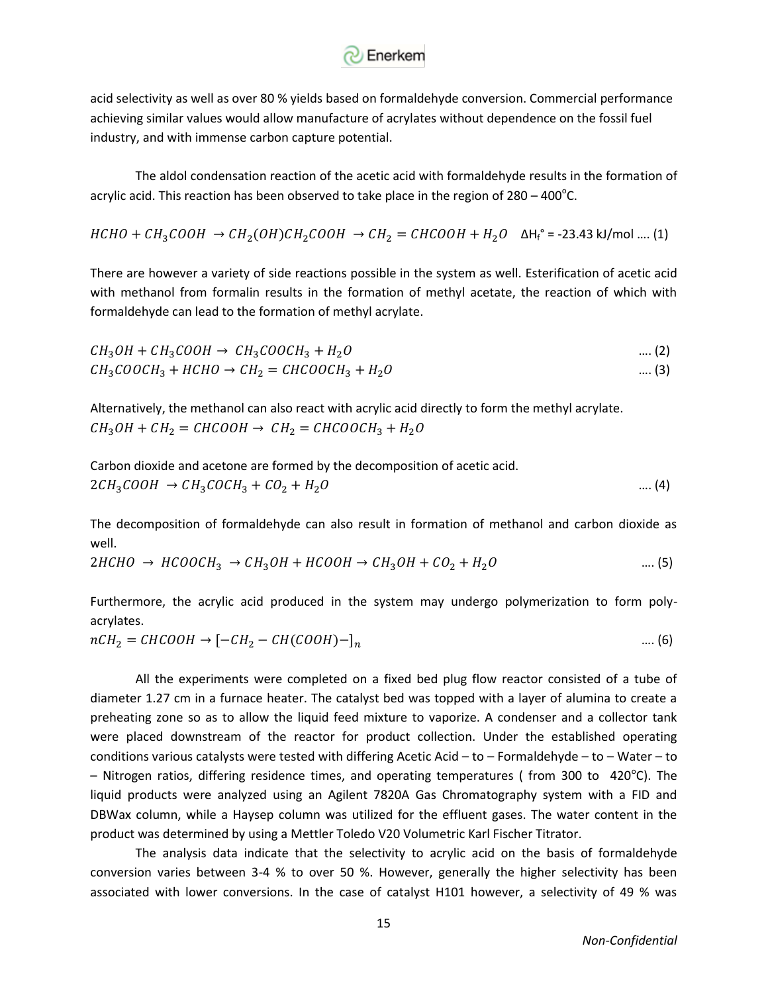

acid selectivity as well as over 80 % yields based on formaldehyde conversion. Commercial performance achieving similar values would allow manufacture of acrylates without dependence on the fossil fuel industry, and with immense carbon capture potential.

The aldol condensation reaction of the acetic acid with formaldehyde results in the formation of acrylic acid. This reaction has been observed to take place in the region of  $280 - 400^{\circ}$ C.

$$
HCHO + CH_3COOH \rightarrow CH_2(OH)CH_2COOH \rightarrow CH_2 = CHCOOH + H_2O \quad \Delta H_f^{\circ} = -23.43 \text{ kJ/mol} \dots (1)
$$

There are however a variety of side reactions possible in the system as well. Esterification of acetic acid with methanol from formalin results in the formation of methyl acetate, the reaction of which with formaldehyde can lead to the formation of methyl acrylate.

$$
CH_3OH + CH_3COOH \rightarrow CH_3COOCH_3 + H_2O
$$
\n
$$
CH_3COOCH_3 + HCHO \rightarrow CH_2 = CHCOOCH_3 + H_2O
$$
\n
$$
.... (3)
$$

Alternatively, the methanol can also react with acrylic acid directly to form the methyl acrylate.  $CH_3OH + CH_2 = CHCOOH \rightarrow CH_2 = CHCOOCH_3 + H_2O$ 

Carbon dioxide and acetone are formed by the decomposition of acetic acid.  
 
$$
2CH_3COOH
$$
 →  $CH_3COCH_3 + CO_2 + H_2O$  (4)

The decomposition of formaldehyde can also result in formation of methanol and carbon dioxide as well.

$$
2HCHO \rightarrow HCOOCH_3 \rightarrow CH_3OH + HCOOH \rightarrow CH_3OH + CO_2 + H_2O
$$
 .... (5)

Furthermore, the acrylic acid produced in the system may undergo polymerization to form polyacrylates.

$$
nCH_2 = CHCOOH \rightarrow [-CH_2 - CH(COOH) -]_n
$$
 .... (6)

All the experiments were completed on a fixed bed plug flow reactor consisted of a tube of diameter 1.27 cm in a furnace heater. The catalyst bed was topped with a layer of alumina to create a preheating zone so as to allow the liquid feed mixture to vaporize. A condenser and a collector tank were placed downstream of the reactor for product collection. Under the established operating conditions various catalysts were tested with differing Acetic Acid – to – Formaldehyde – to – Water – to  $-$  Nitrogen ratios, differing residence times, and operating temperatures (from 300 to 420 $^{\circ}$ C). The liquid products were analyzed using an Agilent 7820A Gas Chromatography system with a FID and DBWax column, while a Haysep column was utilized for the effluent gases. The water content in the product was determined by using a Mettler Toledo V20 Volumetric Karl Fischer Titrator.

The analysis data indicate that the selectivity to acrylic acid on the basis of formaldehyde conversion varies between 3-4 % to over 50 %. However, generally the higher selectivity has been associated with lower conversions. In the case of catalyst H101 however, a selectivity of 49 % was